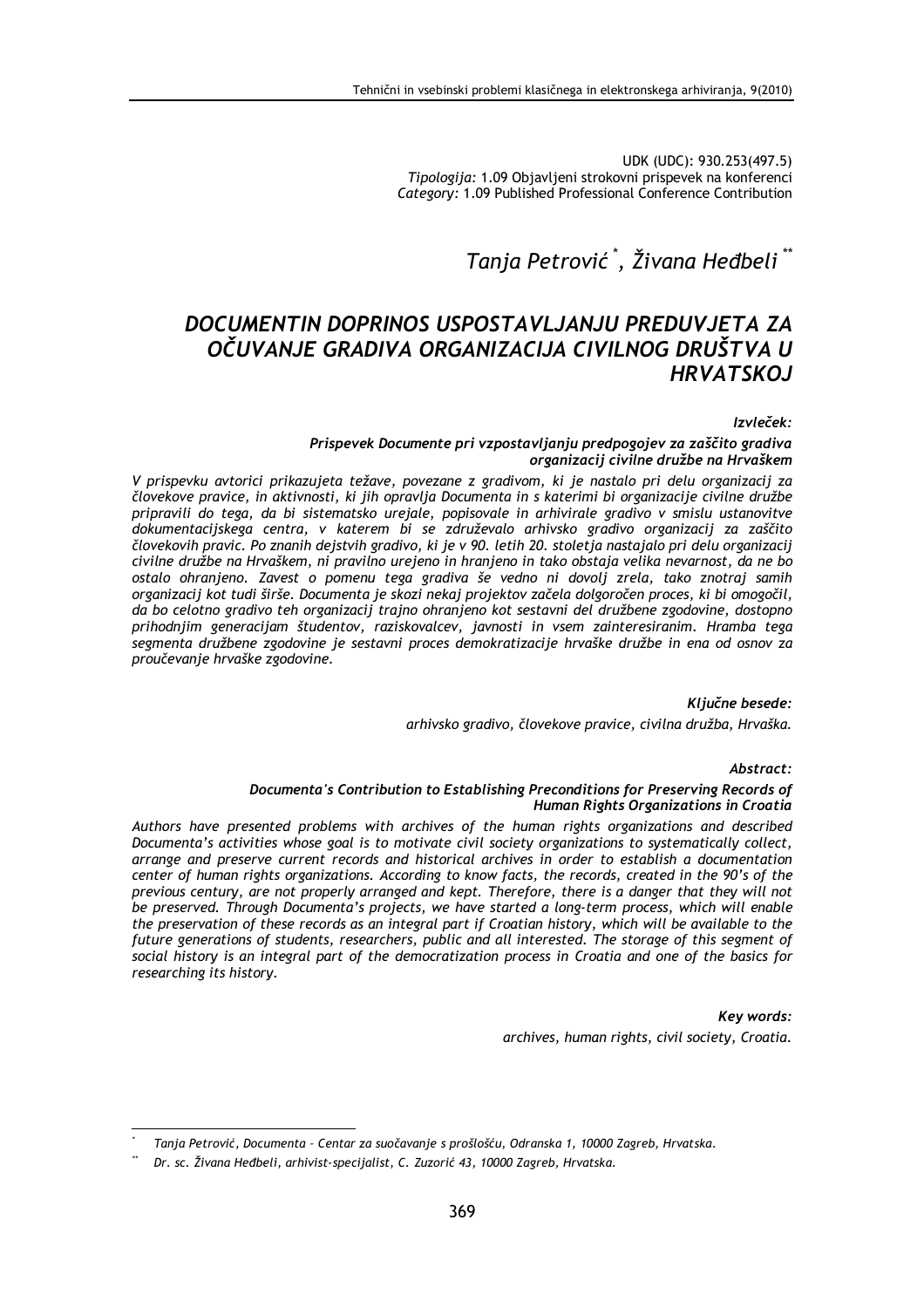UDK (UDC): 930.253(497.5) Tipologija: 1.09 Objavljeni strokovni prispevek na konferenci Category: 1.09 Published Professional Conference Contribution

# Tanja Petrović<sup>\*</sup>, Živana Heđbeli<sup>\*\*</sup>

## DOCUMENTIN DOPRINOS USPOSTAVLJANJU PREDUVJETA ZA OČUVANJE GRADIVA ORGANIZACIJA CIVILNOG DRUŠTVA U **HRVATSKOJ**

#### Izvleček:

#### Prispevek Documente pri vzpostavljanju predpogojev za zaščito gradiva organizacij civilne družbe na Hrvaškem

V prispevku avtorici prikazujeta težave, povezane z gradivom, ki je nastalo pri delu organizacij za človekove pravice, in aktivnosti, ki jih opravlja Documenta in s katerimi bi organizacije civilne družbe pripravili do tega, da bi sistematsko urejale, popisovale in arhivirale gradivo v smislu ustanovitve dokumentacijskega centra, v katerem bi se združevalo arhivsko gradivo organizacij za zaščito človekovih pravic. Po znanih dejstvih gradivo, ki je v 90. letih 20. stoletja nastajalo pri delu organizacij civilne družbe na Hrvaškem, ni pravilno urejeno in hranjeno in tako obstaja velika nevarnost, da ne bo ostalo ohranjeno. Zavest o pomenu tega gradiva še vedno ni dovolj zrela, tako znotraj samih organizacij kot tudi širše. Documenta je skozi nekaj projektov začela dolgoročen proces, ki bi omogočil, da bo celotno gradivo teh organizacij trajno ohranjeno kot sestavni del družbene zgodovine, dostopno prihodnjim generacijam študentov, raziskovalcev, javnosti in vsem zainteresiranim. Hramba tega segmenta družbene zgodovine je sestavni proces demokratizacije hrvaške družbe in ena od osnov za proučevanie hrvaške zgodovine.

> Ključne besede: arhivsko gradivo, človekove pravice, civilna družba, Hrvaška.

#### Abstract:

#### Documenta's Contribution to Establishing Preconditions for Preserving Records of Human Rights Organizations in Croatia

Authors have presented problems with archives of the human rights organizations and described Documenta's activities whose goal is to motivate civil society organizations to systematically collect, arrange and preserve current records and historical archives in order to establish a documentation center of human rights organizations. According to know facts, the records, created in the 90's of the previous century, are not properly arranged and kept. Therefore, there is a danger that they will not be preserved. Through Documenta's projects, we have started a long-term process, which will enable the preservation of these records as an integral part if Croatian history, which will be available to the future generations of students, researchers, public and all interested. The storage of this segment of social history is an integral part of the democratization process in Croatia and one of the basics for researching its history.

> **Kev words:** archives, human rights, civil society, Croatia.

Tanja Petrović, Documenta - Centar za suočavanje s prošlošću, Odranska 1, 10000 Zagreb, Hrvatska.

Dr. sc. Živana Heđbeli, arhivist-specijalist, C. Zuzorić 43, 10000 Zagreb, Hrvatska.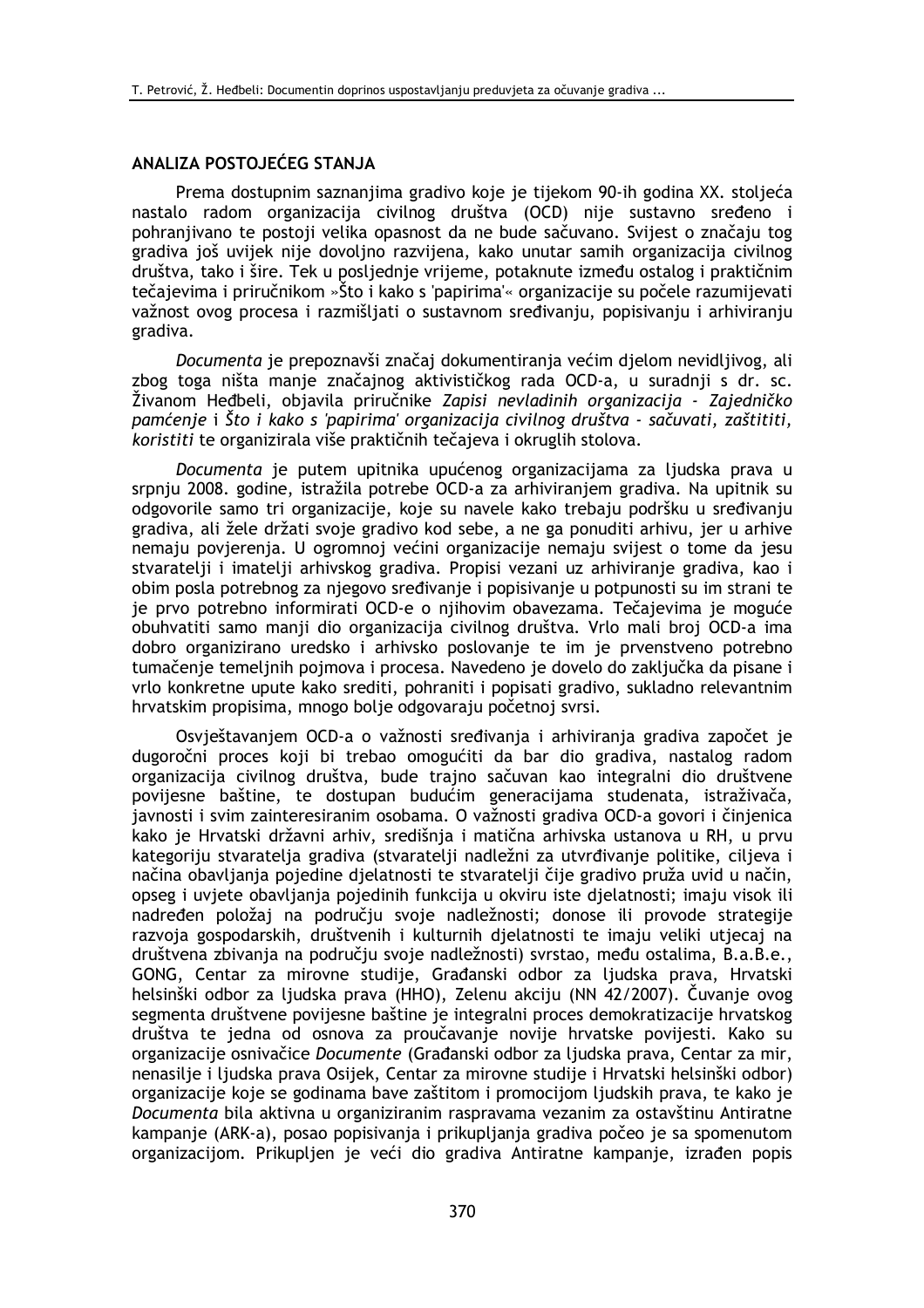## ANALIZA POSTOJEĆEG STANJA

Prema dostupnim saznanjima gradivo koje je tijekom 90-ih godina XX. stoljeća nastalo radom organizacija civilnog društva (OCD) nije sustavno sređeno i pohranjivano te postoji velika opasnost da ne bude sačuvano. Svijest o značaju tog gradiva još uvijek nije dovoljno razvijena, kako unutar samih organizacija civilnog društva, tako i šire. Tek u posljednje vrijeme, potaknute između ostalog i praktičnim tečajevima i priručnikom »Što i kako s 'papirima'« organizacije su počele razumijevati važnost ovog procesa i razmišljati o sustavnom sređivanju, popisivanju i arhiviranju gradiva.

Documenta je prepoznavši značaj dokumentiranja većim djelom nevidljivog, ali zbog toga ništa manje značajnog aktivističkog rada OCD-a, u suradnji s dr. sc. Živanom Heđbeli, objavila priručnike Zapisi nevladinih organizacija - Zajedničko pamćenje i Što i kako s 'papirima' organizacija civilnog društva - sačuvati, zaštititi, koristiti te organizirala više praktičnih tečajeva i okruglih stolova.

Documenta je putem upitnika upućenog organizacijama za ljudska prava u srpnju 2008. godine, istražila potrebe OCD-a za arhiviranjem gradiva. Na upitnik su odgovorile samo tri organizacije, koje su navele kako trebaju podršku u sređivanju gradiva, ali žele držati svoje gradivo kod sebe, a ne ga ponuditi arhivu, jer u arhive nemaju povierenja. U ogromnoj većini organizacije nemaju svijest o tome da jesu stvaratelji i imatelji arhivskog gradiva. Propisi vezani uz arhiviranje gradiva, kao i obim posla potrebnog za njegovo sređivanje i popisivanje u potpunosti su im strani te je prvo potrebno informirati OCD-e o njihovim obavezama. Tečajevima je moguće obuhvatiti samo manji dio organizacija civilnog društva. Vrlo mali broj OCD-a ima dobro organizirano uredsko i arhivsko poslovanje te im je prvenstveno potrebno tumačenie temelinih poimova i procesa. Navedeno je dovelo do zaključka da pisane i vrlo konkretne upute kako srediti, pohraniti i popisati gradivo, sukladno relevantnim hrvatskim propisima, mnogo bolje odgovaraju početnoj svrsi.

Osvieštavaniem OCD-a o važnosti sređivania i arhivirania gradiva započet je dugoročni proces koji bi trebao omogućiti da bar dio gradiva, nastalog radom organizacija civilnog društva, bude trajno sačuvan kao integralni dio društvene povijesne baštine, te dostupan budućim generacijama studenata, istraživača, javnosti i svim zainteresiranim osobama. O važnosti gradiva OCD-a govori i činjenica kako je Hrvatski državni arhiv, središnja i matična arhivska ustanova u RH, u prvu kategoriju stvaratelja gradiva (stvaratelji nadležni za utvrđivanje politike, ciljeva i načina obavljanja pojedine djelatnosti te stvaratelji čije gradivo pruža uvid u način, opseg i uvjete obavljanja pojedinih funkcija u okviru iste djelatnosti; imaju visok ili nadređen položaj na području svoje nadležnosti; donose ili provode strategije razvoja gospodarskih, društvenih i kulturnih djelatnosti te imaju veliki utjecaj na društvena zbivanja na području svoje nadležnosti) svrstao, među ostalima, B.a.B.e., GONG, Centar za mirovne studije, Građanski odbor za ljudska prava, Hrvatski helsinški odbor za ljudska prava (HHO), Zelenu akciju (NN 42/2007). Čuvanje ovog segmenta društvene povijesne baštine je integralni proces demokratizacije hrvatskog društva te jedna od osnova za proučavanje novije hrvatske povijesti. Kako su organizacije osnivačice Documente (Građanski odbor za ljudska prava, Centar za mir, nenasilje i ljudska prava Osijek, Centar za mirovne studije i Hrvatski helsinški odbor) organizacije koje se godinama bave zaštitom i promocijom ljudskih prava, te kako je Documenta bila aktivna u organiziranim raspravama vezanim za ostavštinu Antiratne kampanje (ARK-a), posao popisivanja i prikupljanja gradiva počeo je sa spomenutom organizacijom. Prikupljen je veći dio gradiva Antiratne kampanje, izrađen popis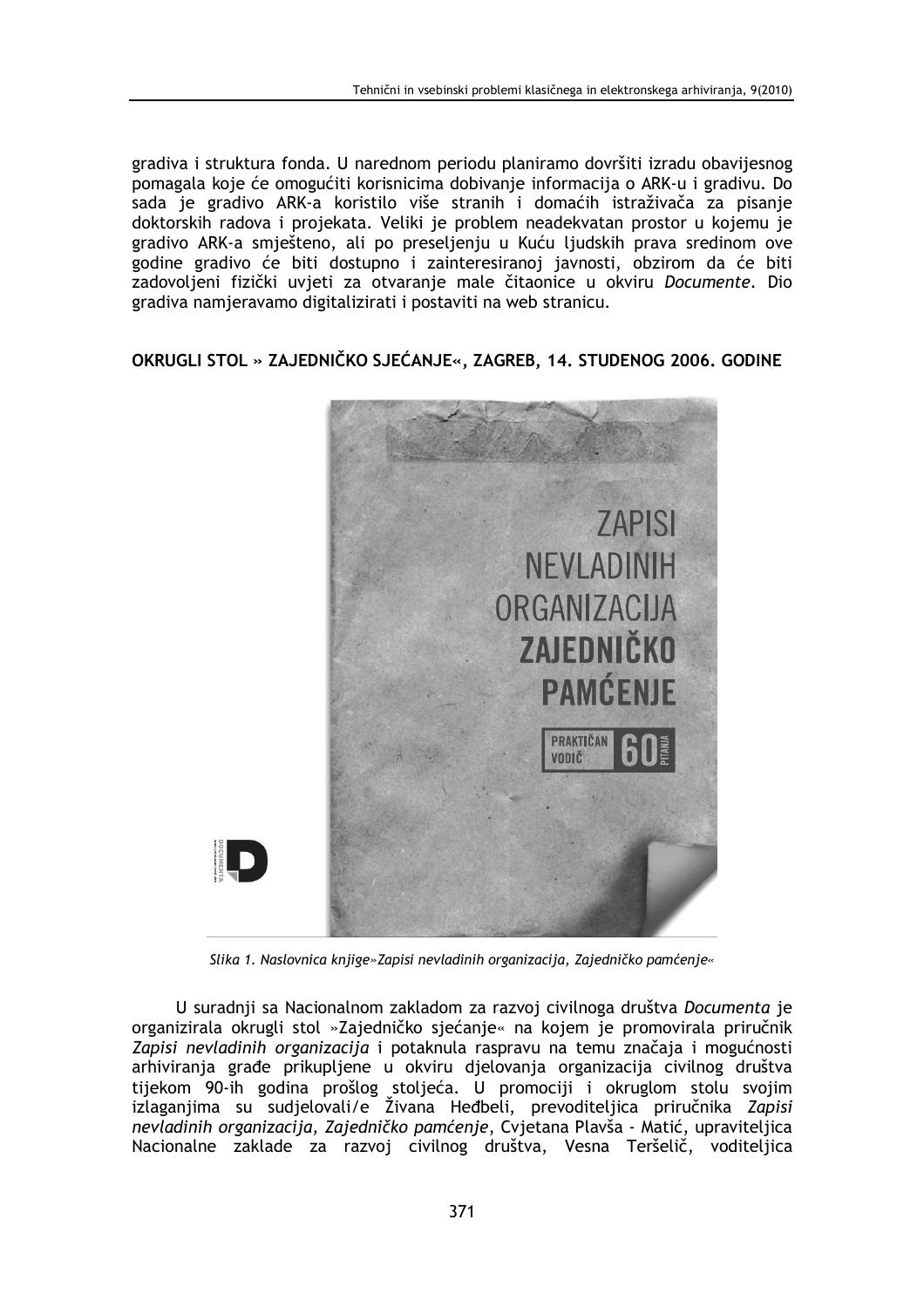gradiva i struktura fonda. U narednom periodu planiramo dovršiti izradu obavijesnog pomagala koje će omogućiti korisnicima dobivanje informacija o ARK-u i gradivu. Do sada je gradivo ARK-a koristilo više stranih i domaćih istraživača za pisanje doktorskih radova i projekata. Veliki je problem neadekvatan prostor u kojemu je gradivo ARK-a smješteno, ali po preseljenju u Kuću ljudskih prava sredinom ove godine gradivo će biti dostupno i zainteresiranoj javnosti, obzirom da će biti zadovoljeni fizički uvjeti za otvaranje male čitaonice u okviru Documente. Dio gradiva namjeravamo digitalizirati i postaviti na web stranicu.

OKRUGLI STOL » ZAJEDNIČKO SJEĆANJE«, ZAGREB, 14, STUDENOG 2006, GODINE



Slika 1. Naslovnica knjige» Zapisi nevladinih organizacija, Zajedničko pamćenje«

U suradnji sa Nacionalnom zakladom za razvoj civilnoga društva Documenta je organizirala okrugli stol »Zajedničko sjećanje« na kojem je promovirala priručnik Zapisi nevladinih organizacija i potaknula raspravu na temu značaja i mogućnosti arhiviranja građe prikupljene u okviru djelovanja organizacija civilnog društva tijekom 90-ih godina prošlog stoljeća. U promociji i okruglom stolu svojim izlaganjima su sudjelovali/e Živana Hedbeli, prevoditeljica priručnika Zapisi nevladinih organizacija, Zajedničko pamćenje, Cvjetana Plavša - Matić, upraviteljica Nacionalne zaklade za razvoj civilnog društva, Vesna Teršelič, voditeljica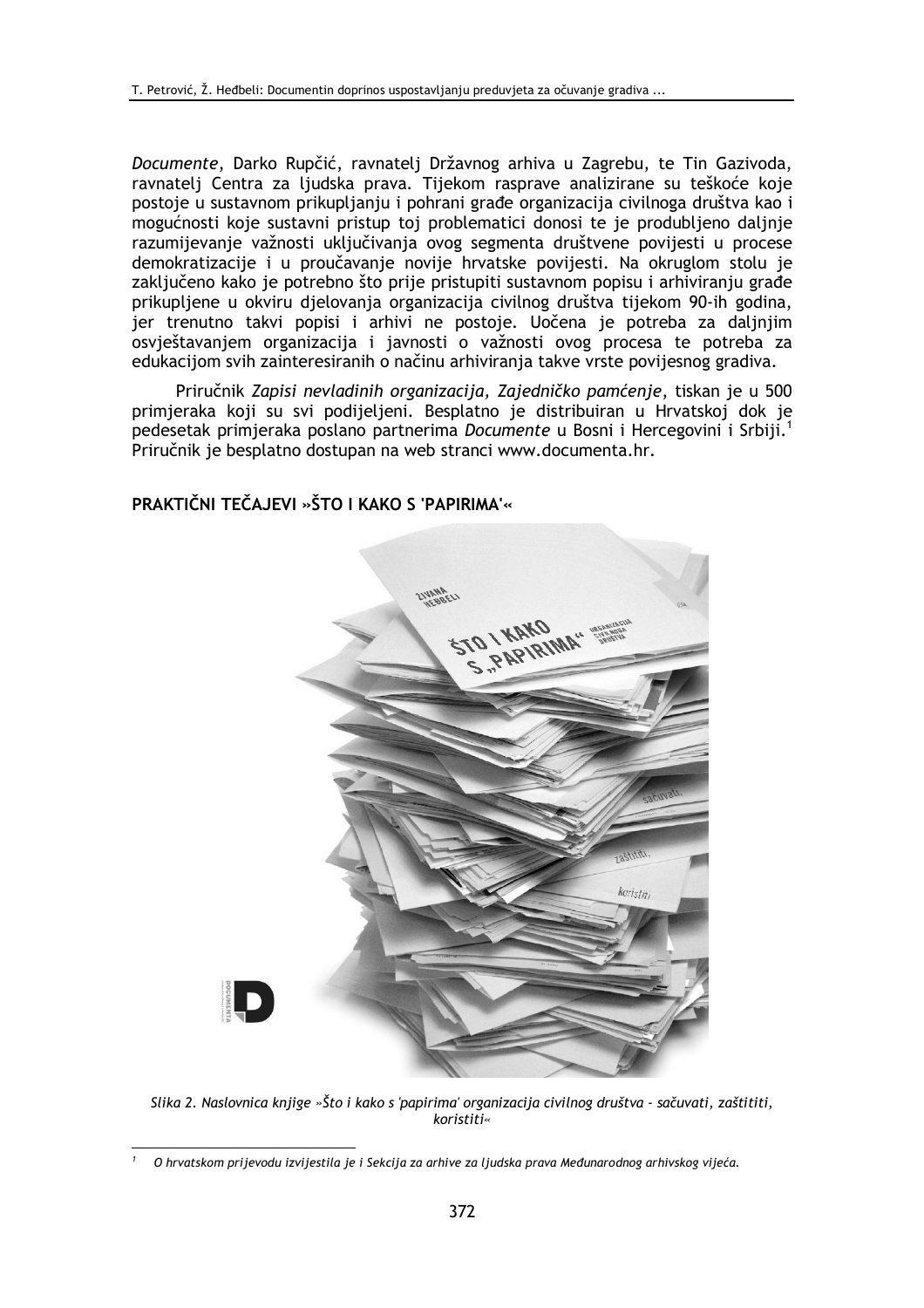Documente, Darko Rupčić, ravnatelj Državnog arhiva u Zagrebu, te Tin Gazivoda, ravnatelj Centra za ljudska prava. Tijekom rasprave analizirane su teškoće koje postoje u sustavnom prikupljanju i pohrani građe organizacija civilnoga društva kao i mogućnosti koje sustavni pristup toj problematici donosi te je produbljeno daljnje razumijevanje važnosti uključivanja ovog segmenta društvene povijesti u procese demokratizacije i u proučavanje novije hrvatske povijesti. Na okruglom stolu je zaključeno kako je potrebno što prije pristupiti sustavnom popisu i arhiviranju građe prikupljene u okviru djelovanja organizacija civilnog društva tijekom 90-ih godina, jer trenutno takvi popisi i arhivi ne postoje. Uočena je potreba za daljnjim osvještavanjem organizacija i javnosti o važnosti ovog procesa te potreba za edukacijom svih zainteresiranih o načinu arhiviranja takve vrste povijesnog gradiva.

Priručnik Zapisi nevladinih organizacija, Zajedničko pamćenje, tiskan je u 500 primjeraka koji su svi podijeljeni. Besplatno je distribuiran u Hrvatskoj dok je pedesetak primjeraka poslano partnerima Documente u Bosni i Hercegovini i Srbiji.<sup>1</sup> Priručnik je besplatno dostupan na web stranci www.documenta.hr.



PRAKTIČNI TEČAJEVI »ŠTO I KAKO S 'PAPIRIMA'«

Slika 2. Naslovnica knjige »Što i kako s 'papirima' organizacija civilnog društva - sačuvati, zaštititi, koristiti«

O hrvatskom prijevodu izvijestila je i Sekcija za arhive za ljudska prava Međunarodnog arhivskog vijeća.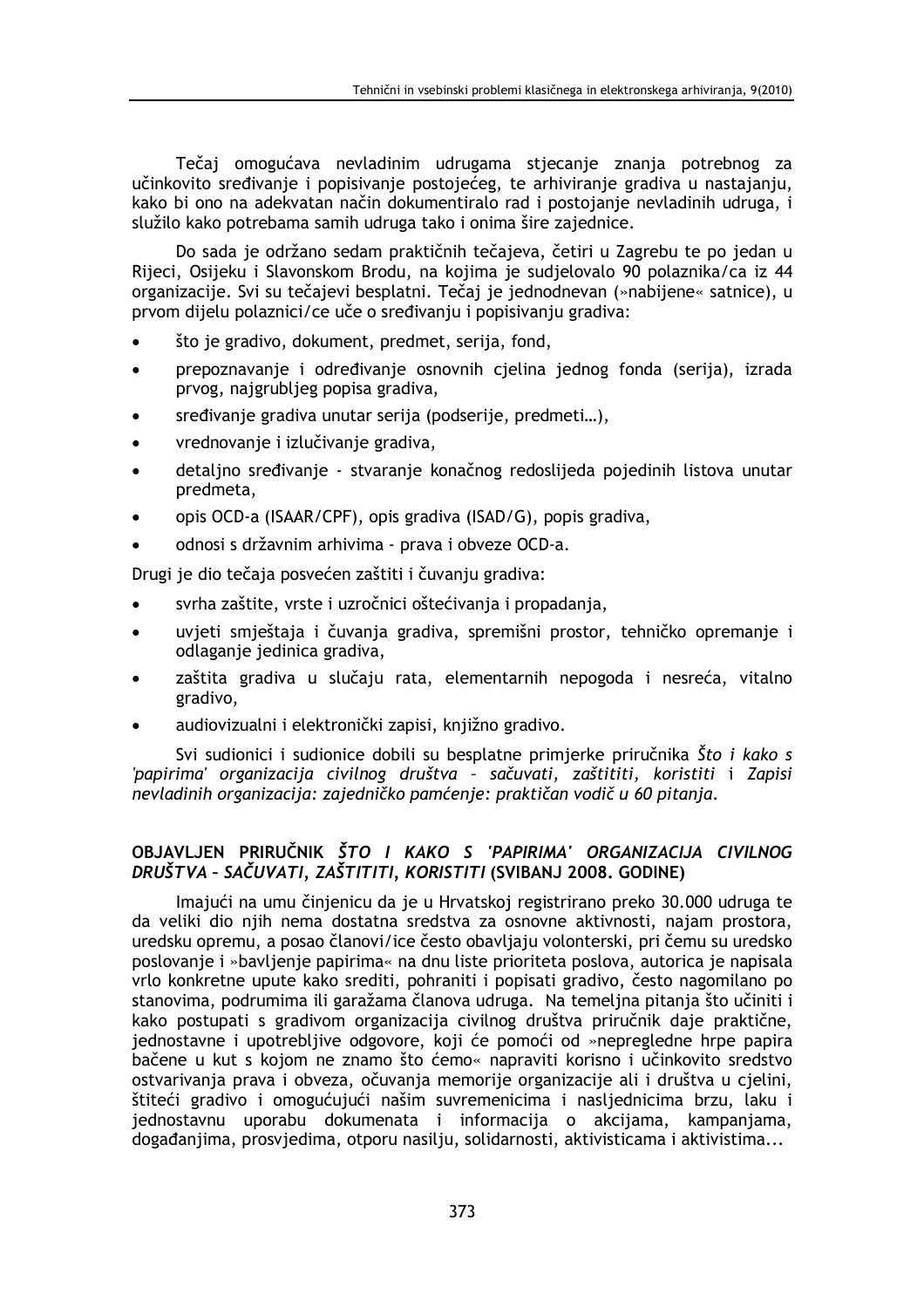Tečaj omogućava nevladinim udrugama stjecanje znanja potrebnog za učinkovito sređivanje i popisivanje postojećeg, te arhiviranje gradiva u nastajanju, kako bi ono na adekvatan način dokumentiralo rad i postojanje nevladinih udruga, i služilo kako potrebama samih udruga tako i onima šire zajednice.

Do sada je održano sedam praktičnih tečajeva, četiri u Zagrebu te po jedan u Rijeci, Osijeku i Slavonskom Brodu, na kojima je sudjelovalo 90 polaznika/ca iz 44 organizacije. Svi su tečajevi besplatni. Tečaj je jednodnevan (»nabijene« satnice), u prvom dijelu polaznici/ce uče o sređivanju i popisivanju gradiva:

- što je gradivo, dokument, predmet, serija, fond,
- prepoznavanje i određivanje osnovnih cjelina jednog fonda (serija), izrada prvog, najgrubljeg popisa gradiva,
- sređivanje gradiva unutar serija (podserije, predmeti...),
- vrednovanje i izlučivanje gradiva,
- detalino sređivanje stvaranje konačnog redoslijeda pojedinih listova unutar predmeta,
- opis OCD-a (ISAAR/CPF), opis gradiva (ISAD/G), popis gradiva,
- odnosi s državnim arhivima prava i obveze OCD-a.

Drugi je dio tečaja posvećen zaštiti i čuvanju gradiva:

- svrha zaštite, vrste i uzročnici oštećivanja i propadanja,
- uvieti smieštaja i čuvania gradiva, spremišni prostor, tehničko opremanie i odlaganje jedinica gradiva,
- zaštita gradiva u slučaju rata, elementarnih nepogoda i nesreća, vitalno gradivo,
- audiovizualni i elektronički zapisi, knjižno gradivo.

Svi sudionici i sudionice dobili su besplatne primjerke priručnika Što i kako s 'papirima' organizacija civilnog društva - sačuvati, zaštititi, koristiti i Zapisi nevladinih organizacija: zajedničko pamćenje: praktičan vodič u 60 pitanja.

## OBJAVLJEN PRIRUČNIK ŠTO I KAKO S 'PAPIRIMA' ORGANIZACIJA CIVILNOG DRUŠTVA - SAČUVATI, ZAŠTITITI, KORISTITI (SVIBANJ 2008. GODINE)

Imajući na umu činjenicu da je u Hrvatskoj registrirano preko 30.000 udruga te da veliki dio njih nema dostatna sredstva za osnovne aktivnosti, najam prostora, uredsku opremu, a posao članovi/ice često obavljaju volonterski, pri čemu su uredsko poslovanie i »bavlienie papirima« na dnu liste prioriteta poslova, autorica je napisala vrlo konkretne upute kako srediti, pohraniti i popisati gradivo, često nagomilano po stanovima, podrumima ili garažama članova udruga. Na temeljna pitanja što učiniti i kako postupati s gradivom organizacija civilnog društva priručnik daje praktične, jednostavne i upotrebljive odgovore, koji će pomoći od »nepregledne hrpe papira bačene u kut s kojom ne znamo što ćemo« napraviti korisno i učinkovito sredstvo ostvarivanja prava i obveza, očuvanja memorije organizacije ali i društva u cjelini, štiteći gradivo i omogućujući našim suvremenicima i nasljednicima brzu, laku i jednostavnu uporabu dokumenata i informacija o akcijama, kampanjama, događanjima, prosvjedima, otporu nasilju, solidarnosti, aktivisticama i aktivistima...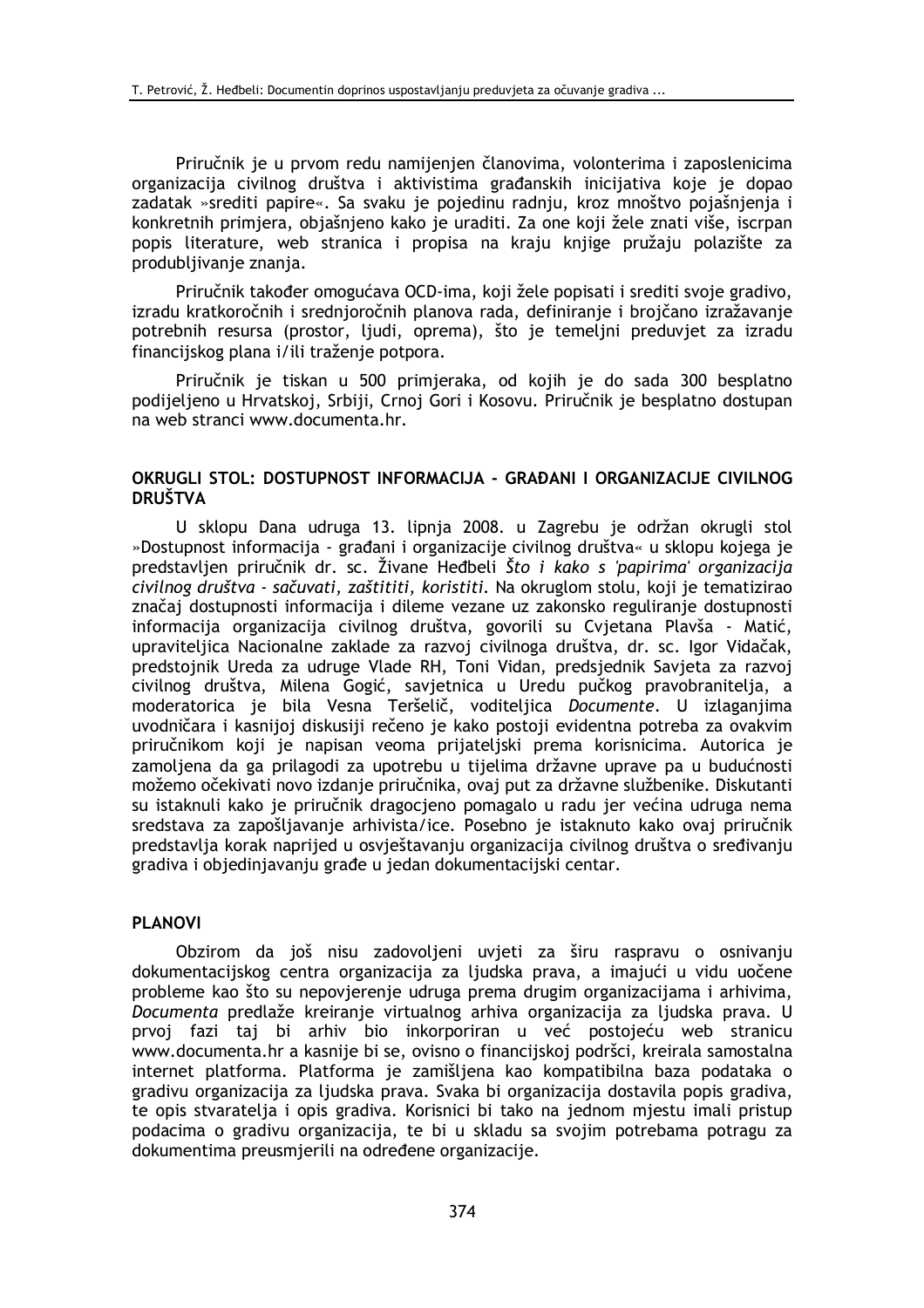Priručnik je u prvom redu namijenjen članovima, volonterima i zaposlenicima organizacija civilnog društva i aktivistima građanskih inicijativa koje je dopao zadatak »srediti papire«. Sa svaku je pojedinu radnju, kroz mnoštvo pojašnjenja i konkretnih primjera, objašnjeno kako je uraditi. Za one koji žele znati više, iscrpan popis literature, web stranica i propisa na kraju knjige pružaju polazište za produbljivanje znanja.

Priručnik također omogućava OCD-ima, koji žele popisati i srediti svoje gradivo, izradu kratkoročnih i srednjoročnih planova rada, definiranje i brojčano izražavanje potrebnih resursa (prostor, ljudi, oprema), što je temeljni preduvjet za izradu financijskog plana i/ili traženje potpora.

Priručnik je tiskan u 500 primjeraka, od kojih je do sada 300 besplatno podijeljeno u Hrvatskoj, Srbiji, Crnoj Gori i Kosovu. Priručnik je besplatno dostupan na web stranci www.documenta.hr.

### OKRUGLI STOL: DOSTUPNOST INFORMACIJA - GRAĐANI I ORGANIZACIJE CIVILNOG **DRUŠTVA**

U sklopu Dana udruga 13. lipnja 2008. u Zagrebu je održan okrugli stol »Dostupnost informacija - građani i organizacije civilnog društva« u sklopu kojega je predstavljen priručnik dr. sc. Živane Hedbeli Što i kako s 'papirima' organizacija civilnog društva - sačuvati, zaštititi, koristiti. Na okruglom stolu, koji je tematizirao značaj dostupnosti informacija i dileme vezane uz zakonsko reguliranje dostupnosti informacija organizacija civilnog društva, govorili su Cvjetana Plavša - Matić, upraviteljica Nacionalne zaklade za razvoj civilnoga društva, dr. sc. Igor Vidačak, predstojnik Ureda za udruge Vlade RH, Toni Vidan, predsjednik Savjeta za razvoj civilnog društva, Milena Gogić, savjetnica u Uredu pučkog pravobranitelja, a moderatorica je bila Vesna Teršelič, voditelijca Documente. U izlaganijma uvodničara i kasnijoj diskusiji rečeno je kako postoji evidentna potreba za ovakvim priručnikom koji je napisan veoma prijateljski prema korisnicima. Autorica je zamoljena da ga prilagodi za upotrebu u tijelima državne uprave pa u budućnosti možemo očekivati novo izdanje priručnika, ovaj put za državne službenike. Diskutanti su istaknuli kako je priručnik dragocjeno pomagalo u radu jer većina udruga nema sredstava za zapošljavanje arhivista/ice. Posebno je istaknuto kako ovaj priručnik predstavlja korak naprijed u osvještavanju organizacija civilnog društva o sređivanju gradiva i objedinjavanju građe u jedan dokumentacijski centar.

#### **PLANOVI**

Obzirom da još nisu zadovoljeni uvjeti za širu raspravu o osnivanju dokumentacijskog centra organizacija za ljudska prava, a imajući u vidu uočene probleme kao što su nepovjerenje udruga prema drugim organizacijama i arhivima, Documenta predlaže kreiranje virtualnog arhiva organizacija za ljudska prava. U prvoj fazi taj bi arhiv bio inkorporiran u već postojeću web stranicu www.documenta.hr a kasnije bi se, ovisno o financijskoj podršci, kreirala samostalna internet platforma. Platforma je zamišljena kao kompatibilna baza podataka o gradivu organizacija za ljudska prava. Svaka bi organizacija dostavila popis gradiva, te opis stvaratelja i opis gradiva. Korisnici bi tako na jednom mjestu imali pristup podacima o gradivu organizacija, te bi u skladu sa svojim potrebama potragu za dokumentima preusmierili na određene organizacije.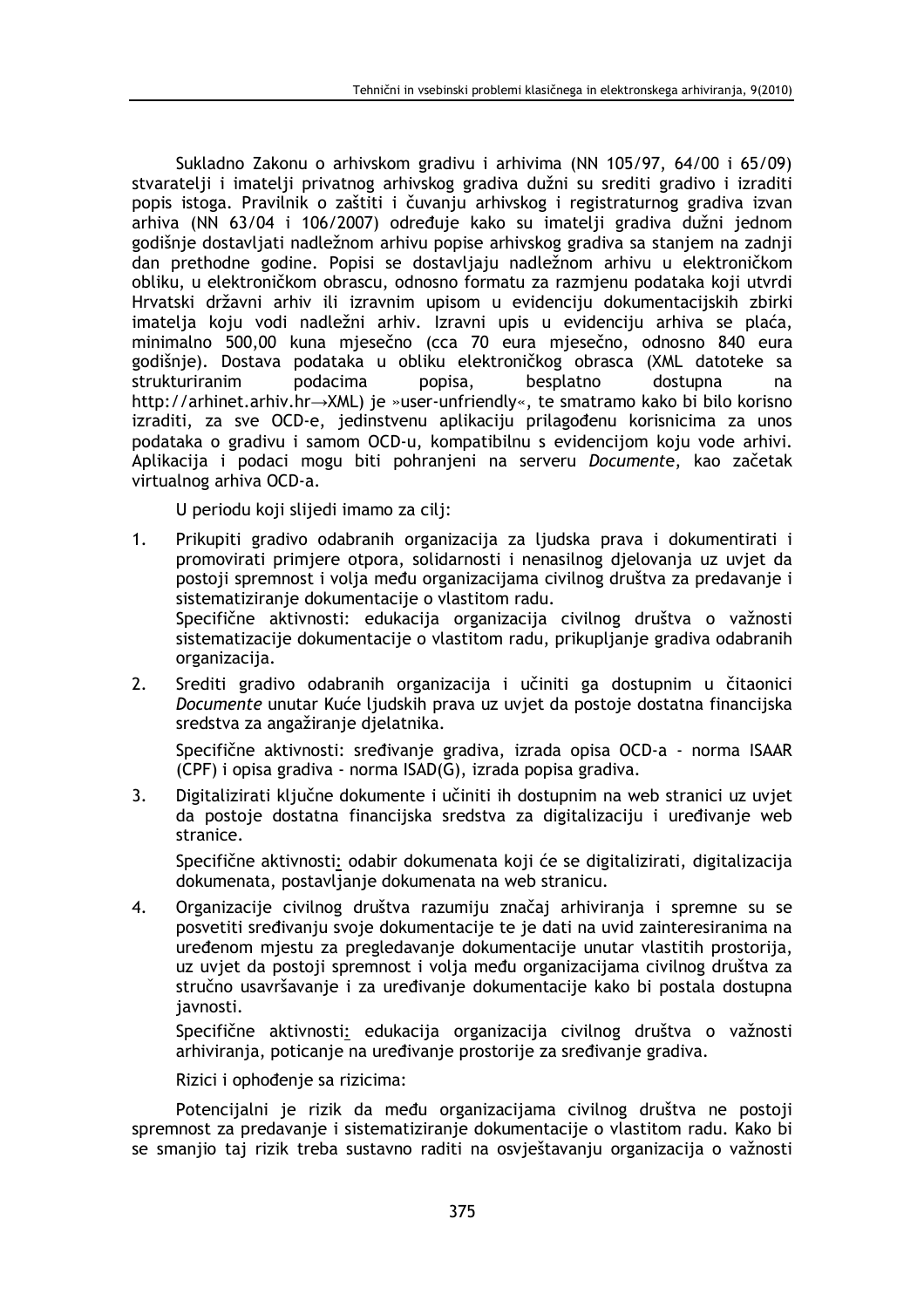Sukladno Zakonu o arhivskom gradivu i arhivima (NN 105/97, 64/00 i 65/09) stvaratelji i imatelji privatnog arhivskog gradiva dužni su srediti gradivo i izraditi popis istoga. Pravilnik o zaštiti i čuvanju arhivskog i registraturnog gradiva izvan arhiva (NN 63/04 i 106/2007) određuje kako su imatelji gradiva dužni jednom godišnje dostavljati nadležnom arhivu popise arhivskog gradiva sa stanjem na zadnji dan prethodne godine. Popisi se dostavljaju nadležnom arhivu u elektroničkom obliku, u elektroničkom obrascu, odnosno formatu za razmienu podataka koji utvrdi Hrvatski državni arhiv ili izravnim upisom u evidenciju dokumentacijskih zbirki imatelja koju vodi nadležni arhiv. Izravni upis u evidenciju arhiva se plaća, minimalno 500,00 kuna mjesečno (cca 70 eura mjesečno, odnosno 840 eura godišnje). Dostava podataka u obliku elektroničkog obrasca (XML datoteke sa strukturiranim podacima besplatno dostupna popisa, na http://arhinet.arhiv.hr->XML) je »user-unfriendly«, te smatramo kako bi bilo korisno izraditi, za sve OCD-e, jedinstvenu aplikaciju prilagođenu korisnicima za unos podataka o gradivu i samom OCD-u, kompatibilnu s evidencijom koju vode arhivi. Aplikacija i podaci mogu biti pohranjeni na serveru Documente, kao začetak virtualnog arhiva OCD-a.

U periodu koji slijedi imamo za cilj:

organizacija.

- $1<sup>1</sup>$ Prikupiti gradivo odabranih organizacija za ljudska prava i dokumentirati i promovirati primjere otpora, solidarnosti i nenasilnog djelovanja uz uvjet da postoji spremnost i volja među organizacijama civilnog društva za predavanje i sistematiziranje dokumentacije o vlastitom radu. Specifične aktivnosti: edukacija organizacija civilnog društva o važnosti sistematizacije dokumentacije o vlastitom radu, prikupljanje gradiva odabranih
- Srediti gradivo odabranih organizacija i učiniti ga dostupnim u čitaonici  $2.$ Documente unutar Kuće ljudskih prava uz uvjet da postoje dostatna financijska sredstva za angažiranje djelatnika.

Specifične aktivnosti: sređivanje gradiva, izrada opisa OCD-a - norma ISAAR (CPF) i opisa gradiva - norma ISAD(G), izrada popisa gradiva.

Digitalizirati ključne dokumente i učiniti ih dostupnim na web stranici uz uvjet  $3.$ da postoje dostatna financijska sredstva za digitalizaciju i uređivanje web stranice.

Specifične aktivnosti: odabir dokumenata koji će se digitalizirati, digitalizacija dokumenata, postavljanje dokumenata na web stranicu.

Organizacije civilnog društva razumiju značaj arhiviranja i spremne su se  $4.$ posvetiti sređivanju svoje dokumentacije te je dati na uvid zajnteresiranima na uređenom mjestu za pregledavanje dokumentacije unutar vlastitih prostorija, uz uviet da postoji spremnost i volja među organizacijama civilnog društva za stručno usavršavanje i za uređivanje dokumentacije kako bi postala dostupna iavnosti.

Specifične aktivnosti: edukacija organizacija civilnog društva o važnosti arhivirania, poticanie na uređivanie prostorije za sređivanie gradiva.

Rizici i ophođenje sa rizicima:

Potencijalni je rizik da među organizacijama civilnog društva ne postoji spremnost za predavanje i sistematiziranje dokumentacije o vlastitom radu. Kako bi se smanjio taj rizik treba sustavno raditi na osvještavanju organizacija o važnosti